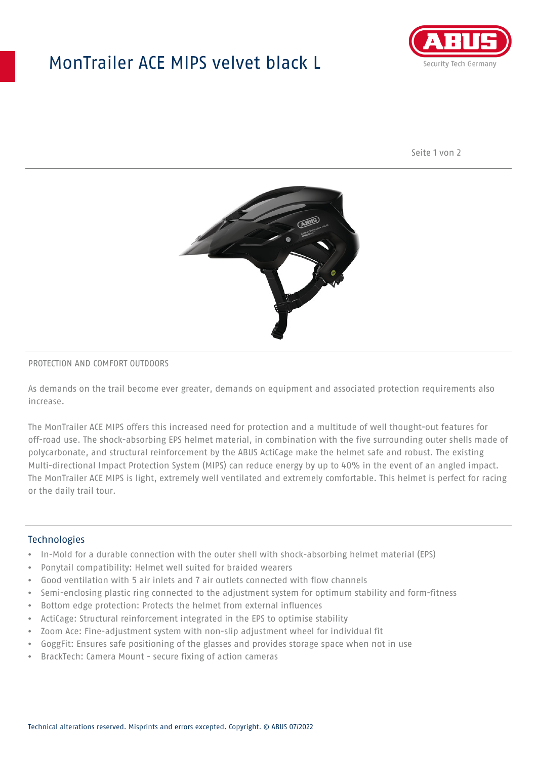# MonTrailer ACE MIPS velvet black L



Seite 1 von 2



#### PROTECTION AND COMFORT OUTDOORS

As demands on the trail become ever greater, demands on equipment and associated protection requirements also increase.

The MonTrailer ACE MIPS offers this increased need for protection and a multitude of well thought-out features for off-road use. The shock-absorbing EPS helmet material, in combination with the five surrounding outer shells made of polycarbonate, and structural reinforcement by the ABUS ActiCage make the helmet safe and robust. The existing Multi-directional Impact Protection System (MIPS) can reduce energy by up to 40% in the event of an angled impact. The MonTrailer ACE MIPS is light, extremely well ventilated and extremely comfortable. This helmet is perfect for racing or the daily trail tour.

### **Technologies**

- In-Mold for a durable connection with the outer shell with shock-absorbing helmet material (EPS)
- Ponytail compatibility: Helmet well suited for braided wearers
- Good ventilation with 5 air inlets and 7 air outlets connected with flow channels
- Semi-enclosing plastic ring connected to the adjustment system for optimum stability and form-fitness
- Bottom edge protection: Protects the helmet from external influences
- ActiCage: Structural reinforcement integrated in the EPS to optimise stability
- Zoom Ace: Fine-adjustment system with non-slip adjustment wheel for individual fit
- GoggFit: Ensures safe positioning of the glasses and provides storage space when not in use
- BrackTech: Camera Mount secure fixing of action cameras